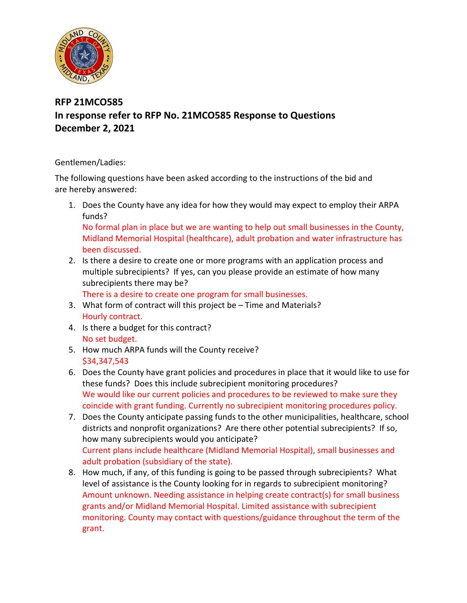

## **RFP 21MCO585 In response refer to RFP No. 21MCO585 Response to Questions December 2, 2021**

## Gentlemen/Ladies:

The following questions have been asked according to the instructions of the bid and are hereby answered:

- 1. Does the County have any idea for how they would may expect to employ their ARPA funds? No formal plan in place but we are wanting to help out small businesses in the County, Midland Memorial Hospital (healthcare), adult probation and water infrastructure has
- been discussed. 2. Is there a desire to create one or more programs with an application process and multiple subrecipients? If yes, can you please provide an estimate of how many
- subrecipients there may be?

There is a desire to create one program for small businesses.

- 3. What form of contract will this project be Time and Materials? Hourly contract.
- 4. Is there a budget for this contract? No set budget.
- 5. How much ARPA funds will the County receive? \$34,347,543
- 6. Does the County have grant policies and procedures in place that it would like to use for these funds? Does this include subrecipient monitoring procedures? We would like our current policies and procedures to be reviewed to make sure they coincide with grant funding. Currently no subrecipient monitoring procedures policy.
- 7. Does the County anticipate passing funds to the other municipalities, healthcare, school districts and nonprofit organizations? Are there other potential subrecipients? If so, how many subrecipients would you anticipate? Current plans include healthcare (Midland Memorial Hospital), small businesses and adult probation (subsidiary of the state).
- 8. How much, if any, of this funding is going to be passed through subrecipients? What level of assistance is the County looking for in regards to subrecipient monitoring? Amount unknown. Needing assistance in helping create contract(s) for small business grants and/or Midland Memorial Hospital. Limited assistance with subrecipient monitoring. County may contact with questions/guidance throughout the term of the grant.